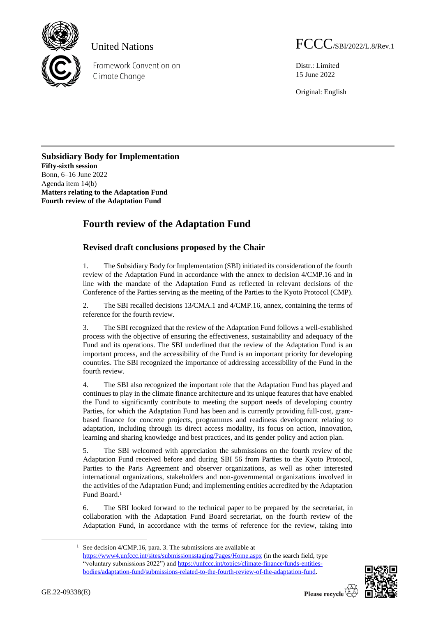

Framework Convention on Climate Change

United Nations FCCC/SBI/2022/L.8/Rev.1

Distr.: Limited 15 June 2022

Original: English

## **Subsidiary Body for Implementation Fifty-sixth session** Bonn, 6–16 June 2022 Agenda item 14(b) **Matters relating to the Adaptation Fund Fourth review of the Adaptation Fund**

## **Fourth review of the Adaptation Fund**

## **Revised draft conclusions proposed by the Chair**

1. The Subsidiary Body for Implementation (SBI) initiated its consideration of the fourth review of the Adaptation Fund in accordance with the annex to decision 4/CMP.16 and in line with the mandate of the Adaptation Fund as reflected in relevant decisions of the Conference of the Parties serving as the meeting of the Parties to the Kyoto Protocol (CMP).

2. The SBI recalled decisions 13/CMA.1 and 4/CMP.16, annex, containing the terms of reference for the fourth review.

3. The SBI recognized that the review of the Adaptation Fund follows a well-established process with the objective of ensuring the effectiveness, sustainability and adequacy of the Fund and its operations. The SBI underlined that the review of the Adaptation Fund is an important process, and the accessibility of the Fund is an important priority for developing countries. The SBI recognized the importance of addressing accessibility of the Fund in the fourth review.

4. The SBI also recognized the important role that the Adaptation Fund has played and continues to play in the climate finance architecture and its unique features that have enabled the Fund to significantly contribute to meeting the support needs of developing country Parties, for which the Adaptation Fund has been and is currently providing full-cost, grantbased finance for concrete projects, programmes and readiness development relating to adaptation, including through its direct access modality, its focus on action, innovation, learning and sharing knowledge and best practices, and its gender policy and action plan.

5. The SBI welcomed with appreciation the submissions on the fourth review of the Adaptation Fund received before and during SBI 56 from Parties to the Kyoto Protocol, Parties to the Paris Agreement and observer organizations, as well as other interested international organizations, stakeholders and non-governmental organizations involved in the activities of the Adaptation Fund; and implementing entities accredited by the Adaptation Fund Board.<sup>1</sup>

6. The SBI looked forward to the technical paper to be prepared by the secretariat, in collaboration with the Adaptation Fund Board secretariat, on the fourth review of the Adaptation Fund, in accordance with the terms of reference for the review, taking into

<sup>&</sup>lt;sup>1</sup> See decision 4/CMP.16, para. 3. The submissions are available at <https://www4.unfccc.int/sites/submissionsstaging/Pages/Home.aspx> (in the search field, type "voluntary submissions 2022") and [https://unfccc.int/topics/climate-finance/funds-entities](https://unfccc.int/topics/climate-finance/funds-entities-bodies/adaptation-fund/submissions-related-to-the-fourth-review-of-the-adaptation-fund)[bodies/adaptation-fund/submissions-related-to-the-fourth-review-of-the-adaptation-fund.](https://unfccc.int/topics/climate-finance/funds-entities-bodies/adaptation-fund/submissions-related-to-the-fourth-review-of-the-adaptation-fund)